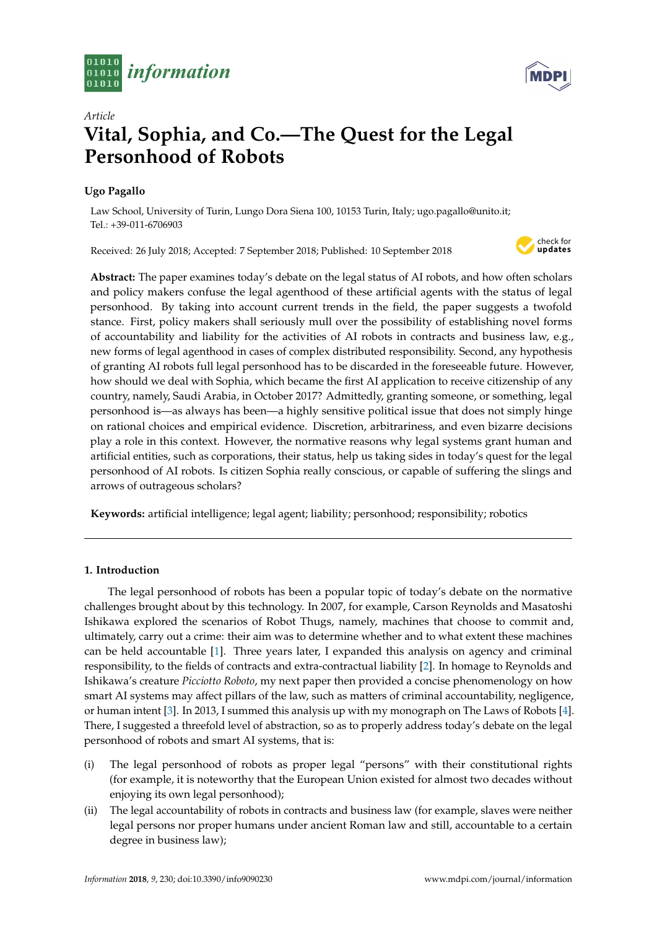



# *Article* **Vital, Sophia, and Co.—The Quest for the Legal Personhood of Robots**

## **Ugo Pagallo**

Law School, University of Turin, Lungo Dora Siena 100, 10153 Turin, Italy; ugo.pagallo@unito.it; Tel.: +39-011-6706903

Received: 26 July 2018; Accepted: 7 September 2018; Published: 10 September 2018



**Abstract:** The paper examines today's debate on the legal status of AI robots, and how often scholars and policy makers confuse the legal agenthood of these artificial agents with the status of legal personhood. By taking into account current trends in the field, the paper suggests a twofold stance. First, policy makers shall seriously mull over the possibility of establishing novel forms of accountability and liability for the activities of AI robots in contracts and business law, e.g., new forms of legal agenthood in cases of complex distributed responsibility. Second, any hypothesis of granting AI robots full legal personhood has to be discarded in the foreseeable future. However, how should we deal with Sophia, which became the first AI application to receive citizenship of any country, namely, Saudi Arabia, in October 2017? Admittedly, granting someone, or something, legal personhood is—as always has been—a highly sensitive political issue that does not simply hinge on rational choices and empirical evidence. Discretion, arbitrariness, and even bizarre decisions play a role in this context. However, the normative reasons why legal systems grant human and artificial entities, such as corporations, their status, help us taking sides in today's quest for the legal personhood of AI robots. Is citizen Sophia really conscious, or capable of suffering the slings and arrows of outrageous scholars?

**Keywords:** artificial intelligence; legal agent; liability; personhood; responsibility; robotics

## **1. Introduction**

The legal personhood of robots has been a popular topic of today's debate on the normative challenges brought about by this technology. In 2007, for example, Carson Reynolds and Masatoshi Ishikawa explored the scenarios of Robot Thugs, namely, machines that choose to commit and, ultimately, carry out a crime: their aim was to determine whether and to what extent these machines can be held accountable [\[1\]](#page-9-0). Three years later, I expanded this analysis on agency and criminal responsibility, to the fields of contracts and extra-contractual liability [\[2\]](#page-9-1). In homage to Reynolds and Ishikawa's creature *Picciotto Roboto*, my next paper then provided a concise phenomenology on how smart AI systems may affect pillars of the law, such as matters of criminal accountability, negligence, or human intent [\[3\]](#page-9-2). In 2013, I summed this analysis up with my monograph on The Laws of Robots [\[4\]](#page-9-3). There, I suggested a threefold level of abstraction, so as to properly address today's debate on the legal personhood of robots and smart AI systems, that is:

- (i) The legal personhood of robots as proper legal "persons" with their constitutional rights (for example, it is noteworthy that the European Union existed for almost two decades without enjoying its own legal personhood);
- (ii) The legal accountability of robots in contracts and business law (for example, slaves were neither legal persons nor proper humans under ancient Roman law and still, accountable to a certain degree in business law);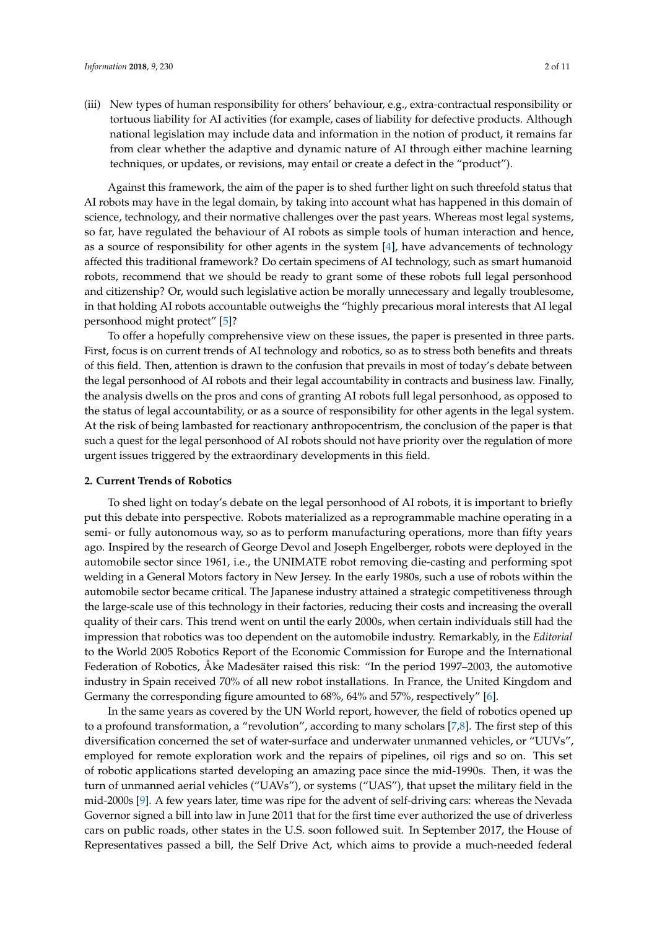(iii) New types of human responsibility for others' behaviour, e.g., extra-contractual responsibility or tortuous liability for AI activities (for example, cases of liability for defective products. Although national legislation may include data and information in the notion of product, it remains far from clear whether the adaptive and dynamic nature of AI through either machine learning techniques, or updates, or revisions, may entail or create a defect in the "product").

Against this framework, the aim of the paper is to shed further light on such threefold status that AI robots may have in the legal domain, by taking into account what has happened in this domain of science, technology, and their normative challenges over the past years. Whereas most legal systems, so far, have regulated the behaviour of AI robots as simple tools of human interaction and hence, as a source of responsibility for other agents in the system [\[4\]](#page-9-3), have advancements of technology affected this traditional framework? Do certain specimens of AI technology, such as smart humanoid robots, recommend that we should be ready to grant some of these robots full legal personhood and citizenship? Or, would such legislative action be morally unnecessary and legally troublesome, in that holding AI robots accountable outweighs the "highly precarious moral interests that AI legal personhood might protect" [\[5\]](#page-9-4)?

To offer a hopefully comprehensive view on these issues, the paper is presented in three parts. First, focus is on current trends of AI technology and robotics, so as to stress both benefits and threats of this field. Then, attention is drawn to the confusion that prevails in most of today's debate between the legal personhood of AI robots and their legal accountability in contracts and business law. Finally, the analysis dwells on the pros and cons of granting AI robots full legal personhood, as opposed to the status of legal accountability, or as a source of responsibility for other agents in the legal system. At the risk of being lambasted for reactionary anthropocentrism, the conclusion of the paper is that such a quest for the legal personhood of AI robots should not have priority over the regulation of more urgent issues triggered by the extraordinary developments in this field.

#### <span id="page-1-0"></span>**2. Current Trends of Robotics**

To shed light on today's debate on the legal personhood of AI robots, it is important to briefly put this debate into perspective. Robots materialized as a reprogrammable machine operating in a semi- or fully autonomous way, so as to perform manufacturing operations, more than fifty years ago. Inspired by the research of George Devol and Joseph Engelberger, robots were deployed in the automobile sector since 1961, i.e., the UNIMATE robot removing die-casting and performing spot welding in a General Motors factory in New Jersey. In the early 1980s, such a use of robots within the automobile sector became critical. The Japanese industry attained a strategic competitiveness through the large-scale use of this technology in their factories, reducing their costs and increasing the overall quality of their cars. This trend went on until the early 2000s, when certain individuals still had the impression that robotics was too dependent on the automobile industry. Remarkably, in the *Editorial* to the World 2005 Robotics Report of the Economic Commission for Europe and the International Federation of Robotics, Åke Madesäter raised this risk: "In the period 1997–2003, the automotive industry in Spain received 70% of all new robot installations. In France, the United Kingdom and Germany the corresponding figure amounted to 68%, 64% and 57%, respectively" [\[6\]](#page-9-5).

In the same years as covered by the UN World report, however, the field of robotics opened up to a profound transformation, a "revolution", according to many scholars [\[7,](#page-9-6)[8\]](#page-9-7). The first step of this diversification concerned the set of water-surface and underwater unmanned vehicles, or "UUVs", employed for remote exploration work and the repairs of pipelines, oil rigs and so on. This set of robotic applications started developing an amazing pace since the mid-1990s. Then, it was the turn of unmanned aerial vehicles ("UAVs"), or systems ("UAS"), that upset the military field in the mid-2000s [\[9\]](#page-9-8). A few years later, time was ripe for the advent of self-driving cars: whereas the Nevada Governor signed a bill into law in June 2011 that for the first time ever authorized the use of driverless cars on public roads, other states in the U.S. soon followed suit. In September 2017, the House of Representatives passed a bill, the Self Drive Act, which aims to provide a much-needed federal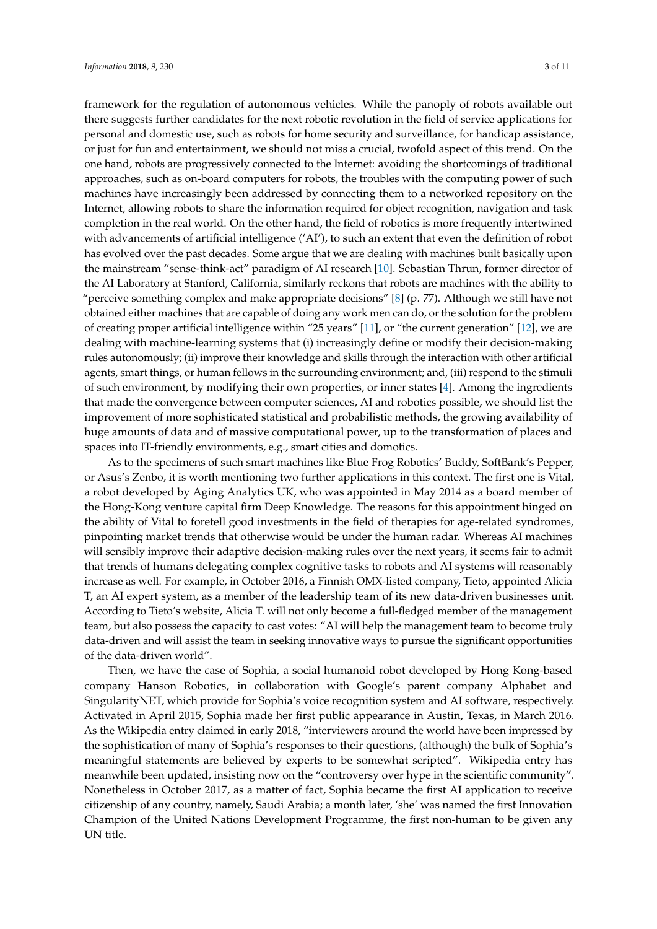framework for the regulation of autonomous vehicles. While the panoply of robots available out there suggests further candidates for the next robotic revolution in the field of service applications for personal and domestic use, such as robots for home security and surveillance, for handicap assistance, or just for fun and entertainment, we should not miss a crucial, twofold aspect of this trend. On the one hand, robots are progressively connected to the Internet: avoiding the shortcomings of traditional approaches, such as on-board computers for robots, the troubles with the computing power of such machines have increasingly been addressed by connecting them to a networked repository on the Internet, allowing robots to share the information required for object recognition, navigation and task completion in the real world. On the other hand, the field of robotics is more frequently intertwined with advancements of artificial intelligence ('AI'), to such an extent that even the definition of robot has evolved over the past decades. Some argue that we are dealing with machines built basically upon the mainstream "sense-think-act" paradigm of AI research [\[10\]](#page-9-9). Sebastian Thrun, former director of the AI Laboratory at Stanford, California, similarly reckons that robots are machines with the ability to "perceive something complex and make appropriate decisions"  $[8]$  (p. 77). Although we still have not obtained either machines that are capable of doing any work men can do, or the solution for the problem of creating proper artificial intelligence within "25 years" [\[11\]](#page-9-10), or "the current generation" [\[12\]](#page-9-11), we are dealing with machine-learning systems that (i) increasingly define or modify their decision-making rules autonomously; (ii) improve their knowledge and skills through the interaction with other artificial agents, smart things, or human fellows in the surrounding environment; and, (iii) respond to the stimuli of such environment, by modifying their own properties, or inner states [\[4\]](#page-9-3). Among the ingredients that made the convergence between computer sciences, AI and robotics possible, we should list the improvement of more sophisticated statistical and probabilistic methods, the growing availability of huge amounts of data and of massive computational power, up to the transformation of places and spaces into IT-friendly environments, e.g., smart cities and domotics.

As to the specimens of such smart machines like Blue Frog Robotics' Buddy, SoftBank's Pepper, or Asus's Zenbo, it is worth mentioning two further applications in this context. The first one is Vital, a robot developed by Aging Analytics UK, who was appointed in May 2014 as a board member of the Hong-Kong venture capital firm Deep Knowledge. The reasons for this appointment hinged on the ability of Vital to foretell good investments in the field of therapies for age-related syndromes, pinpointing market trends that otherwise would be under the human radar. Whereas AI machines will sensibly improve their adaptive decision-making rules over the next years, it seems fair to admit that trends of humans delegating complex cognitive tasks to robots and AI systems will reasonably increase as well. For example, in October 2016, a Finnish OMX-listed company, Tieto, appointed Alicia T, an AI expert system, as a member of the leadership team of its new data-driven businesses unit. According to Tieto's website, Alicia T. will not only become a full-fledged member of the management team, but also possess the capacity to cast votes: "AI will help the management team to become truly data-driven and will assist the team in seeking innovative ways to pursue the significant opportunities of the data-driven world".

Then, we have the case of Sophia, a social humanoid robot developed by Hong Kong-based company Hanson Robotics, in collaboration with Google's parent company Alphabet and SingularityNET, which provide for Sophia's voice recognition system and AI software, respectively. Activated in April 2015, Sophia made her first public appearance in Austin, Texas, in March 2016. As the Wikipedia entry claimed in early 2018, "interviewers around the world have been impressed by the sophistication of many of Sophia's responses to their questions, (although) the bulk of Sophia's meaningful statements are believed by experts to be somewhat scripted". Wikipedia entry has meanwhile been updated, insisting now on the "controversy over hype in the scientific community". Nonetheless in October 2017, as a matter of fact, Sophia became the first AI application to receive citizenship of any country, namely, Saudi Arabia; a month later, 'she' was named the first Innovation Champion of the United Nations Development Programme, the first non-human to be given any UN title.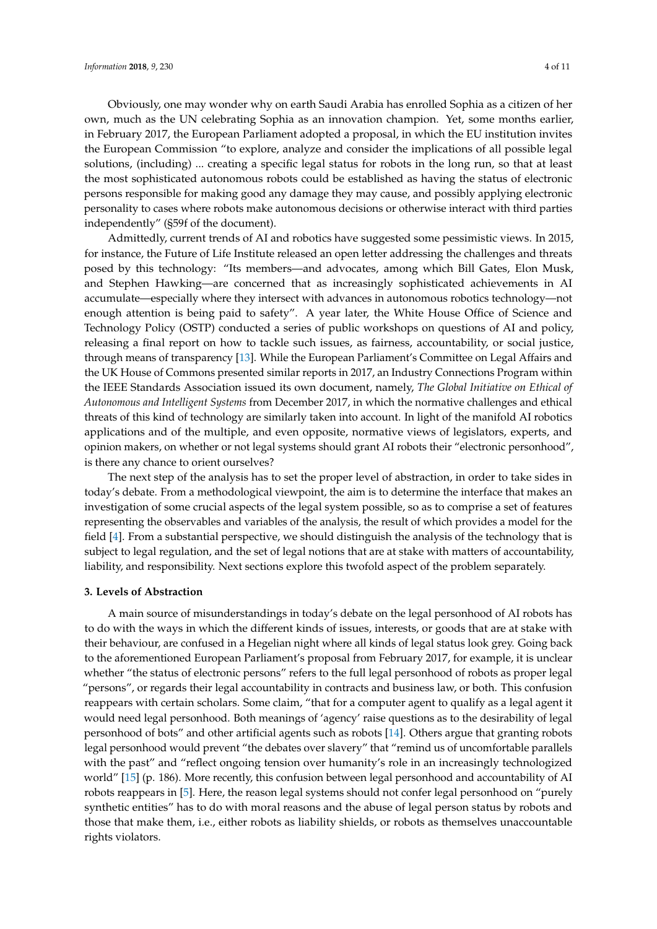Obviously, one may wonder why on earth Saudi Arabia has enrolled Sophia as a citizen of her own, much as the UN celebrating Sophia as an innovation champion. Yet, some months earlier, in February 2017, the European Parliament adopted a proposal, in which the EU institution invites the European Commission "to explore, analyze and consider the implications of all possible legal solutions, (including) ... creating a specific legal status for robots in the long run, so that at least the most sophisticated autonomous robots could be established as having the status of electronic persons responsible for making good any damage they may cause, and possibly applying electronic personality to cases where robots make autonomous decisions or otherwise interact with third parties independently" (§59f of the document).

Admittedly, current trends of AI and robotics have suggested some pessimistic views. In 2015, for instance, the Future of Life Institute released an open letter addressing the challenges and threats posed by this technology: "Its members—and advocates, among which Bill Gates, Elon Musk, and Stephen Hawking—are concerned that as increasingly sophisticated achievements in AI accumulate—especially where they intersect with advances in autonomous robotics technology—not enough attention is being paid to safety". A year later, the White House Office of Science and Technology Policy (OSTP) conducted a series of public workshops on questions of AI and policy, releasing a final report on how to tackle such issues, as fairness, accountability, or social justice, through means of transparency [\[13\]](#page-9-12). While the European Parliament's Committee on Legal Affairs and the UK House of Commons presented similar reports in 2017, an Industry Connections Program within the IEEE Standards Association issued its own document, namely, *The Global Initiative on Ethical of Autonomous and Intelligent Systems* from December 2017, in which the normative challenges and ethical threats of this kind of technology are similarly taken into account. In light of the manifold AI robotics applications and of the multiple, and even opposite, normative views of legislators, experts, and opinion makers, on whether or not legal systems should grant AI robots their "electronic personhood", is there any chance to orient ourselves?

The next step of the analysis has to set the proper level of abstraction, in order to take sides in today's debate. From a methodological viewpoint, the aim is to determine the interface that makes an investigation of some crucial aspects of the legal system possible, so as to comprise a set of features representing the observables and variables of the analysis, the result of which provides a model for the field [\[4\]](#page-9-3). From a substantial perspective, we should distinguish the analysis of the technology that is subject to legal regulation, and the set of legal notions that are at stake with matters of accountability, liability, and responsibility. Next sections explore this twofold aspect of the problem separately.

#### <span id="page-3-0"></span>**3. Levels of Abstraction**

A main source of misunderstandings in today's debate on the legal personhood of AI robots has to do with the ways in which the different kinds of issues, interests, or goods that are at stake with their behaviour, are confused in a Hegelian night where all kinds of legal status look grey. Going back to the aforementioned European Parliament's proposal from February 2017, for example, it is unclear whether "the status of electronic persons" refers to the full legal personhood of robots as proper legal "persons", or regards their legal accountability in contracts and business law, or both. This confusion reappears with certain scholars. Some claim, "that for a computer agent to qualify as a legal agent it would need legal personhood. Both meanings of 'agency' raise questions as to the desirability of legal personhood of bots" and other artificial agents such as robots [\[14\]](#page-9-13). Others argue that granting robots legal personhood would prevent "the debates over slavery" that "remind us of uncomfortable parallels with the past" and "reflect ongoing tension over humanity's role in an increasingly technologized world" [\[15\]](#page-10-0) (p. 186). More recently, this confusion between legal personhood and accountability of AI robots reappears in [\[5\]](#page-9-4). Here, the reason legal systems should not confer legal personhood on "purely synthetic entities" has to do with moral reasons and the abuse of legal person status by robots and those that make them, i.e., either robots as liability shields, or robots as themselves unaccountable rights violators.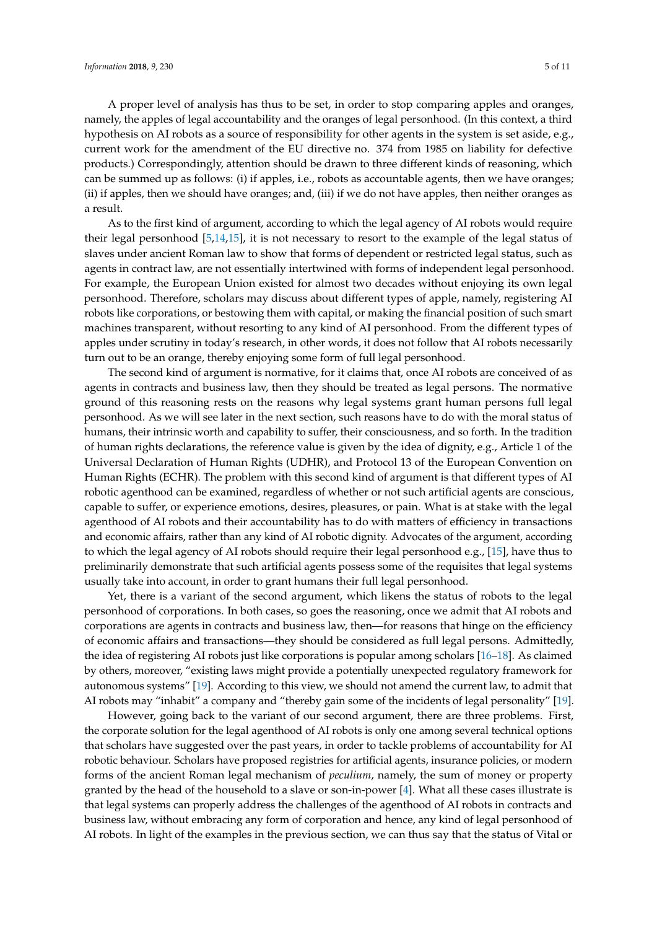A proper level of analysis has thus to be set, in order to stop comparing apples and oranges, namely, the apples of legal accountability and the oranges of legal personhood. (In this context, a third hypothesis on AI robots as a source of responsibility for other agents in the system is set aside, e.g., current work for the amendment of the EU directive no. 374 from 1985 on liability for defective products.) Correspondingly, attention should be drawn to three different kinds of reasoning, which can be summed up as follows: (i) if apples, i.e., robots as accountable agents, then we have oranges; (ii) if apples, then we should have oranges; and, (iii) if we do not have apples, then neither oranges as a result.

As to the first kind of argument, according to which the legal agency of AI robots would require their legal personhood [\[5](#page-9-4)[,14](#page-9-13)[,15\]](#page-10-0), it is not necessary to resort to the example of the legal status of slaves under ancient Roman law to show that forms of dependent or restricted legal status, such as agents in contract law, are not essentially intertwined with forms of independent legal personhood. For example, the European Union existed for almost two decades without enjoying its own legal personhood. Therefore, scholars may discuss about different types of apple, namely, registering AI robots like corporations, or bestowing them with capital, or making the financial position of such smart machines transparent, without resorting to any kind of AI personhood. From the different types of apples under scrutiny in today's research, in other words, it does not follow that AI robots necessarily turn out to be an orange, thereby enjoying some form of full legal personhood.

The second kind of argument is normative, for it claims that, once AI robots are conceived of as agents in contracts and business law, then they should be treated as legal persons. The normative ground of this reasoning rests on the reasons why legal systems grant human persons full legal personhood. As we will see later in the next section, such reasons have to do with the moral status of humans, their intrinsic worth and capability to suffer, their consciousness, and so forth. In the tradition of human rights declarations, the reference value is given by the idea of dignity, e.g., Article 1 of the Universal Declaration of Human Rights (UDHR), and Protocol 13 of the European Convention on Human Rights (ECHR). The problem with this second kind of argument is that different types of AI robotic agenthood can be examined, regardless of whether or not such artificial agents are conscious, capable to suffer, or experience emotions, desires, pleasures, or pain. What is at stake with the legal agenthood of AI robots and their accountability has to do with matters of efficiency in transactions and economic affairs, rather than any kind of AI robotic dignity. Advocates of the argument, according to which the legal agency of AI robots should require their legal personhood e.g., [\[15\]](#page-10-0), have thus to preliminarily demonstrate that such artificial agents possess some of the requisites that legal systems usually take into account, in order to grant humans their full legal personhood.

Yet, there is a variant of the second argument, which likens the status of robots to the legal personhood of corporations. In both cases, so goes the reasoning, once we admit that AI robots and corporations are agents in contracts and business law, then—for reasons that hinge on the efficiency of economic affairs and transactions—they should be considered as full legal persons. Admittedly, the idea of registering AI robots just like corporations is popular among scholars [\[16–](#page-10-1)[18\]](#page-10-2). As claimed by others, moreover, "existing laws might provide a potentially unexpected regulatory framework for autonomous systems" [\[19\]](#page-10-3). According to this view, we should not amend the current law, to admit that AI robots may "inhabit" a company and "thereby gain some of the incidents of legal personality" [\[19\]](#page-10-3).

However, going back to the variant of our second argument, there are three problems. First, the corporate solution for the legal agenthood of AI robots is only one among several technical options that scholars have suggested over the past years, in order to tackle problems of accountability for AI robotic behaviour. Scholars have proposed registries for artificial agents, insurance policies, or modern forms of the ancient Roman legal mechanism of *peculium*, namely, the sum of money or property granted by the head of the household to a slave or son-in-power [\[4\]](#page-9-3). What all these cases illustrate is that legal systems can properly address the challenges of the agenthood of AI robots in contracts and business law, without embracing any form of corporation and hence, any kind of legal personhood of AI robots. In light of the examples in the previous section, we can thus say that the status of Vital or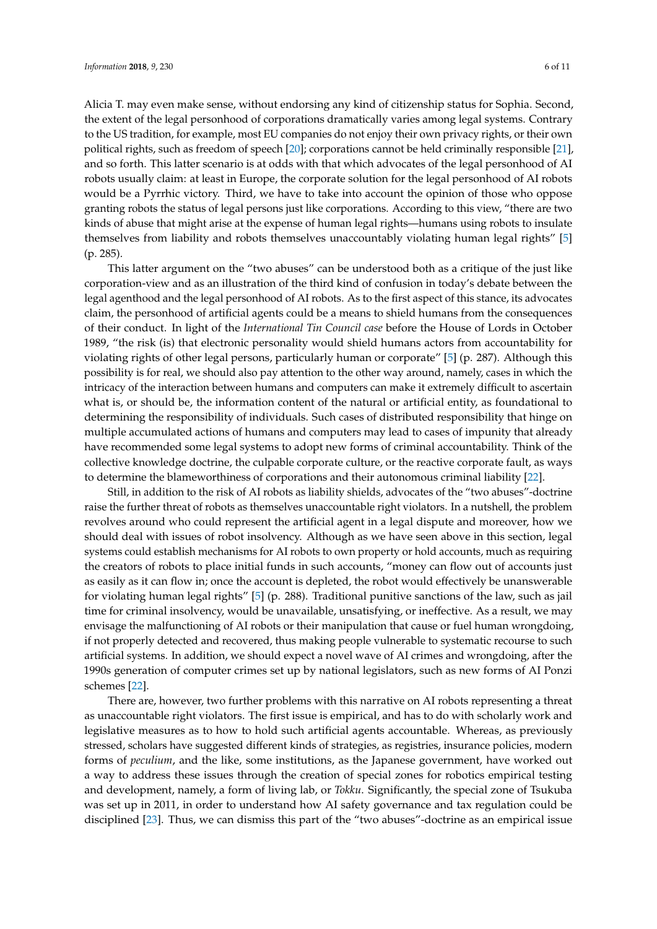Alicia T. may even make sense, without endorsing any kind of citizenship status for Sophia. Second, the extent of the legal personhood of corporations dramatically varies among legal systems. Contrary to the US tradition, for example, most EU companies do not enjoy their own privacy rights, or their own political rights, such as freedom of speech [\[20\]](#page-10-4); corporations cannot be held criminally responsible [\[21\]](#page-10-5), and so forth. This latter scenario is at odds with that which advocates of the legal personhood of AI robots usually claim: at least in Europe, the corporate solution for the legal personhood of AI robots would be a Pyrrhic victory. Third, we have to take into account the opinion of those who oppose granting robots the status of legal persons just like corporations. According to this view, "there are two kinds of abuse that might arise at the expense of human legal rights—humans using robots to insulate themselves from liability and robots themselves unaccountably violating human legal rights" [\[5\]](#page-9-4) (p. 285).

This latter argument on the "two abuses" can be understood both as a critique of the just like corporation-view and as an illustration of the third kind of confusion in today's debate between the legal agenthood and the legal personhood of AI robots. As to the first aspect of this stance, its advocates claim, the personhood of artificial agents could be a means to shield humans from the consequences of their conduct. In light of the *International Tin Council case* before the House of Lords in October 1989, "the risk (is) that electronic personality would shield humans actors from accountability for violating rights of other legal persons, particularly human or corporate" [\[5\]](#page-9-4) (p. 287). Although this possibility is for real, we should also pay attention to the other way around, namely, cases in which the intricacy of the interaction between humans and computers can make it extremely difficult to ascertain what is, or should be, the information content of the natural or artificial entity, as foundational to determining the responsibility of individuals. Such cases of distributed responsibility that hinge on multiple accumulated actions of humans and computers may lead to cases of impunity that already have recommended some legal systems to adopt new forms of criminal accountability. Think of the collective knowledge doctrine, the culpable corporate culture, or the reactive corporate fault, as ways to determine the blameworthiness of corporations and their autonomous criminal liability [\[22\]](#page-10-6).

Still, in addition to the risk of AI robots as liability shields, advocates of the "two abuses"-doctrine raise the further threat of robots as themselves unaccountable right violators. In a nutshell, the problem revolves around who could represent the artificial agent in a legal dispute and moreover, how we should deal with issues of robot insolvency. Although as we have seen above in this section, legal systems could establish mechanisms for AI robots to own property or hold accounts, much as requiring the creators of robots to place initial funds in such accounts, "money can flow out of accounts just as easily as it can flow in; once the account is depleted, the robot would effectively be unanswerable for violating human legal rights" [\[5\]](#page-9-4) (p. 288). Traditional punitive sanctions of the law, such as jail time for criminal insolvency, would be unavailable, unsatisfying, or ineffective. As a result, we may envisage the malfunctioning of AI robots or their manipulation that cause or fuel human wrongdoing, if not properly detected and recovered, thus making people vulnerable to systematic recourse to such artificial systems. In addition, we should expect a novel wave of AI crimes and wrongdoing, after the 1990s generation of computer crimes set up by national legislators, such as new forms of AI Ponzi schemes [\[22\]](#page-10-6).

There are, however, two further problems with this narrative on AI robots representing a threat as unaccountable right violators. The first issue is empirical, and has to do with scholarly work and legislative measures as to how to hold such artificial agents accountable. Whereas, as previously stressed, scholars have suggested different kinds of strategies, as registries, insurance policies, modern forms of *peculium*, and the like, some institutions, as the Japanese government, have worked out a way to address these issues through the creation of special zones for robotics empirical testing and development, namely, a form of living lab, or *Tokku*. Significantly, the special zone of Tsukuba was set up in 2011, in order to understand how AI safety governance and tax regulation could be disciplined [\[23\]](#page-10-7). Thus, we can dismiss this part of the "two abuses"-doctrine as an empirical issue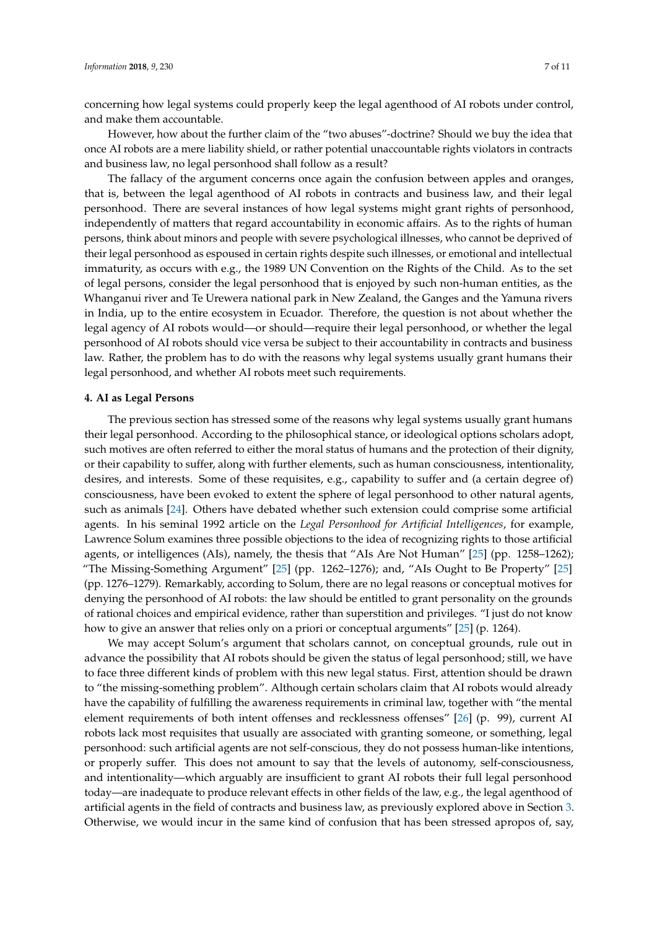concerning how legal systems could properly keep the legal agenthood of AI robots under control, and make them accountable.

However, how about the further claim of the "two abuses"-doctrine? Should we buy the idea that once AI robots are a mere liability shield, or rather potential unaccountable rights violators in contracts and business law, no legal personhood shall follow as a result?

The fallacy of the argument concerns once again the confusion between apples and oranges, that is, between the legal agenthood of AI robots in contracts and business law, and their legal personhood. There are several instances of how legal systems might grant rights of personhood, independently of matters that regard accountability in economic affairs. As to the rights of human persons, think about minors and people with severe psychological illnesses, who cannot be deprived of their legal personhood as espoused in certain rights despite such illnesses, or emotional and intellectual immaturity, as occurs with e.g., the 1989 UN Convention on the Rights of the Child. As to the set of legal persons, consider the legal personhood that is enjoyed by such non-human entities, as the Whanganui river and Te Urewera national park in New Zealand, the Ganges and the Yamuna rivers in India, up to the entire ecosystem in Ecuador. Therefore, the question is not about whether the legal agency of AI robots would—or should—require their legal personhood, or whether the legal personhood of AI robots should vice versa be subject to their accountability in contracts and business law. Rather, the problem has to do with the reasons why legal systems usually grant humans their legal personhood, and whether AI robots meet such requirements.

#### **4. AI as Legal Persons**

The previous section has stressed some of the reasons why legal systems usually grant humans their legal personhood. According to the philosophical stance, or ideological options scholars adopt, such motives are often referred to either the moral status of humans and the protection of their dignity, or their capability to suffer, along with further elements, such as human consciousness, intentionality, desires, and interests. Some of these requisites, e.g., capability to suffer and (a certain degree of) consciousness, have been evoked to extent the sphere of legal personhood to other natural agents, such as animals [\[24\]](#page-10-8). Others have debated whether such extension could comprise some artificial agents. In his seminal 1992 article on the *Legal Personhood for Artificial Intelligences*, for example, Lawrence Solum examines three possible objections to the idea of recognizing rights to those artificial agents, or intelligences (AIs), namely, the thesis that "AIs Are Not Human" [\[25\]](#page-10-9) (pp. 1258–1262); "The Missing-Something Argument" [\[25\]](#page-10-9) (pp. 1262–1276); and, "AIs Ought to Be Property" [\[25\]](#page-10-9) (pp. 1276–1279). Remarkably, according to Solum, there are no legal reasons or conceptual motives for denying the personhood of AI robots: the law should be entitled to grant personality on the grounds of rational choices and empirical evidence, rather than superstition and privileges. "I just do not know how to give an answer that relies only on a priori or conceptual arguments" [\[25\]](#page-10-9) (p. 1264).

We may accept Solum's argument that scholars cannot, on conceptual grounds, rule out in advance the possibility that AI robots should be given the status of legal personhood; still, we have to face three different kinds of problem with this new legal status. First, attention should be drawn to "the missing-something problem". Although certain scholars claim that AI robots would already have the capability of fulfilling the awareness requirements in criminal law, together with "the mental element requirements of both intent offenses and recklessness offenses" [\[26\]](#page-10-10) (p. 99), current AI robots lack most requisites that usually are associated with granting someone, or something, legal personhood: such artificial agents are not self-conscious, they do not possess human-like intentions, or properly suffer. This does not amount to say that the levels of autonomy, self-consciousness, and intentionality—which arguably are insufficient to grant AI robots their full legal personhood today—are inadequate to produce relevant effects in other fields of the law, e.g., the legal agenthood of artificial agents in the field of contracts and business law, as previously explored above in Section [3.](#page-3-0) Otherwise, we would incur in the same kind of confusion that has been stressed apropos of, say,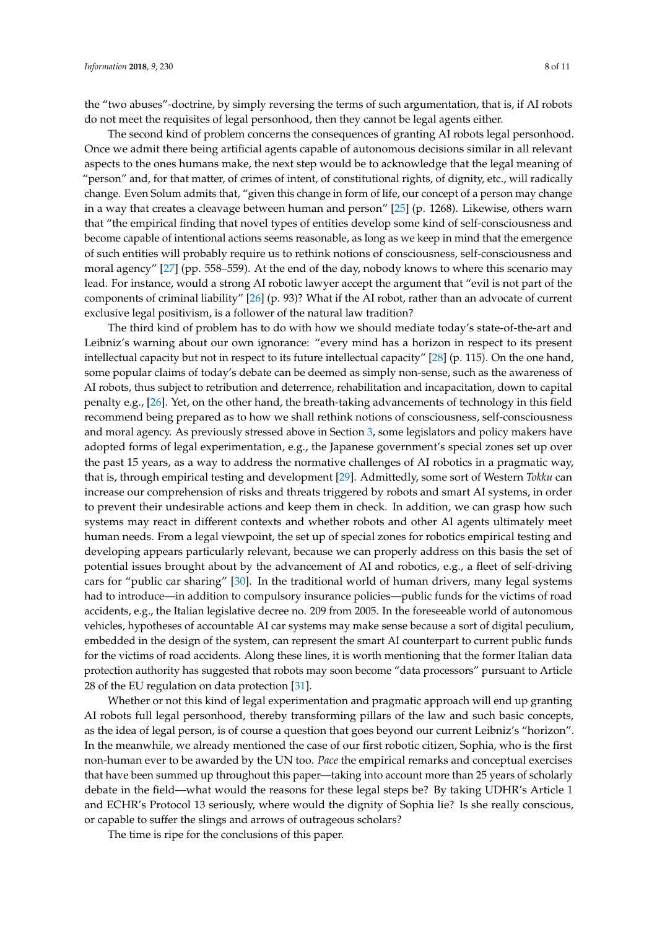the "two abuses"-doctrine, by simply reversing the terms of such argumentation, that is, if AI robots do not meet the requisites of legal personhood, then they cannot be legal agents either.

The second kind of problem concerns the consequences of granting AI robots legal personhood. Once we admit there being artificial agents capable of autonomous decisions similar in all relevant aspects to the ones humans make, the next step would be to acknowledge that the legal meaning of "person" and, for that matter, of crimes of intent, of constitutional rights, of dignity, etc., will radically change. Even Solum admits that, "given this change in form of life, our concept of a person may change in a way that creates a cleavage between human and person" [\[25\]](#page-10-9) (p. 1268). Likewise, others warn that "the empirical finding that novel types of entities develop some kind of self-consciousness and become capable of intentional actions seems reasonable, as long as we keep in mind that the emergence of such entities will probably require us to rethink notions of consciousness, self-consciousness and moral agency" [\[27\]](#page-10-11) (pp. 558–559). At the end of the day, nobody knows to where this scenario may lead. For instance, would a strong AI robotic lawyer accept the argument that "evil is not part of the components of criminal liability" [\[26\]](#page-10-10) (p. 93)? What if the AI robot, rather than an advocate of current exclusive legal positivism, is a follower of the natural law tradition?

The third kind of problem has to do with how we should mediate today's state-of-the-art and Leibniz's warning about our own ignorance: "every mind has a horizon in respect to its present intellectual capacity but not in respect to its future intellectual capacity" [\[28\]](#page-10-12) (p. 115). On the one hand, some popular claims of today's debate can be deemed as simply non-sense, such as the awareness of AI robots, thus subject to retribution and deterrence, rehabilitation and incapacitation, down to capital penalty e.g., [\[26\]](#page-10-10). Yet, on the other hand, the breath-taking advancements of technology in this field recommend being prepared as to how we shall rethink notions of consciousness, self-consciousness and moral agency. As previously stressed above in Section [3,](#page-3-0) some legislators and policy makers have adopted forms of legal experimentation, e.g., the Japanese government's special zones set up over the past 15 years, as a way to address the normative challenges of AI robotics in a pragmatic way, that is, through empirical testing and development [\[29\]](#page-10-13). Admittedly, some sort of Western *Tokku* can increase our comprehension of risks and threats triggered by robots and smart AI systems, in order to prevent their undesirable actions and keep them in check. In addition, we can grasp how such systems may react in different contexts and whether robots and other AI agents ultimately meet human needs. From a legal viewpoint, the set up of special zones for robotics empirical testing and developing appears particularly relevant, because we can properly address on this basis the set of potential issues brought about by the advancement of AI and robotics, e.g., a fleet of self-driving cars for "public car sharing" [\[30\]](#page-10-14). In the traditional world of human drivers, many legal systems had to introduce—in addition to compulsory insurance policies—public funds for the victims of road accidents, e.g., the Italian legislative decree no. 209 from 2005. In the foreseeable world of autonomous vehicles, hypotheses of accountable AI car systems may make sense because a sort of digital peculium, embedded in the design of the system, can represent the smart AI counterpart to current public funds for the victims of road accidents. Along these lines, it is worth mentioning that the former Italian data protection authority has suggested that robots may soon become "data processors" pursuant to Article 28 of the EU regulation on data protection [\[31\]](#page-10-15).

Whether or not this kind of legal experimentation and pragmatic approach will end up granting AI robots full legal personhood, thereby transforming pillars of the law and such basic concepts, as the idea of legal person, is of course a question that goes beyond our current Leibniz's "horizon". In the meanwhile, we already mentioned the case of our first robotic citizen, Sophia, who is the first non-human ever to be awarded by the UN too. *Pace* the empirical remarks and conceptual exercises that have been summed up throughout this paper—taking into account more than 25 years of scholarly debate in the field—what would the reasons for these legal steps be? By taking UDHR's Article 1 and ECHR's Protocol 13 seriously, where would the dignity of Sophia lie? Is she really conscious, or capable to suffer the slings and arrows of outrageous scholars?

The time is ripe for the conclusions of this paper.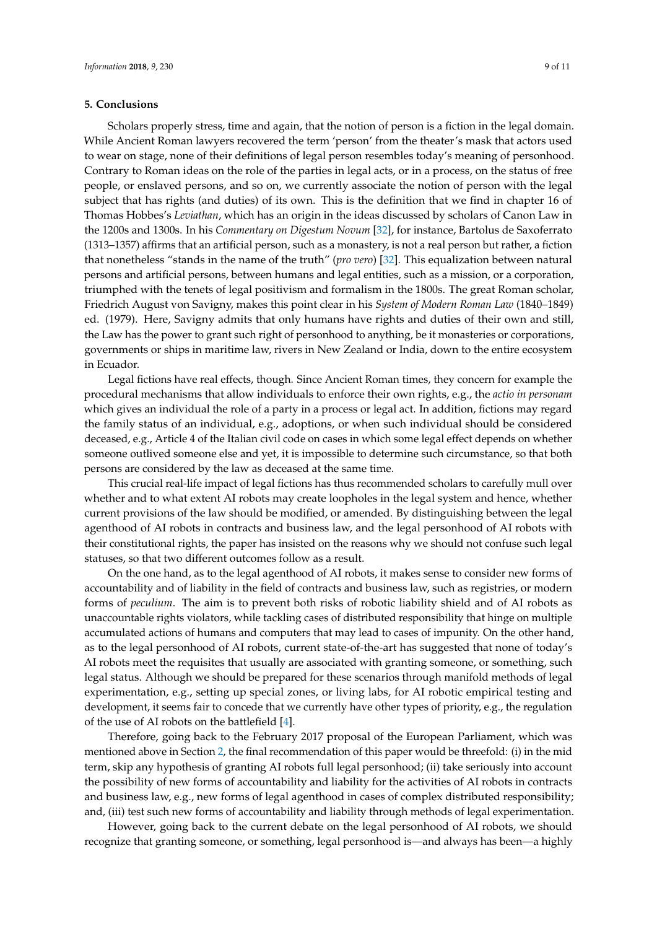#### **5. Conclusions**

Scholars properly stress, time and again, that the notion of person is a fiction in the legal domain. While Ancient Roman lawyers recovered the term 'person' from the theater's mask that actors used to wear on stage, none of their definitions of legal person resembles today's meaning of personhood. Contrary to Roman ideas on the role of the parties in legal acts, or in a process, on the status of free people, or enslaved persons, and so on, we currently associate the notion of person with the legal subject that has rights (and duties) of its own. This is the definition that we find in chapter 16 of Thomas Hobbes's *Leviathan*, which has an origin in the ideas discussed by scholars of Canon Law in the 1200s and 1300s. In his *Commentary on Digestum Novum* [\[32\]](#page-10-16), for instance, Bartolus de Saxoferrato (1313–1357) affirms that an artificial person, such as a monastery, is not a real person but rather, a fiction that nonetheless "stands in the name of the truth" (*pro vero*) [\[32\]](#page-10-16). This equalization between natural persons and artificial persons, between humans and legal entities, such as a mission, or a corporation, triumphed with the tenets of legal positivism and formalism in the 1800s. The great Roman scholar, Friedrich August von Savigny, makes this point clear in his *System of Modern Roman Law* (1840–1849) ed. (1979). Here, Savigny admits that only humans have rights and duties of their own and still, the Law has the power to grant such right of personhood to anything, be it monasteries or corporations, governments or ships in maritime law, rivers in New Zealand or India, down to the entire ecosystem in Ecuador.

Legal fictions have real effects, though. Since Ancient Roman times, they concern for example the procedural mechanisms that allow individuals to enforce their own rights, e.g., the *actio in personam* which gives an individual the role of a party in a process or legal act. In addition, fictions may regard the family status of an individual, e.g., adoptions, or when such individual should be considered deceased, e.g., Article 4 of the Italian civil code on cases in which some legal effect depends on whether someone outlived someone else and yet, it is impossible to determine such circumstance, so that both persons are considered by the law as deceased at the same time.

This crucial real-life impact of legal fictions has thus recommended scholars to carefully mull over whether and to what extent AI robots may create loopholes in the legal system and hence, whether current provisions of the law should be modified, or amended. By distinguishing between the legal agenthood of AI robots in contracts and business law, and the legal personhood of AI robots with their constitutional rights, the paper has insisted on the reasons why we should not confuse such legal statuses, so that two different outcomes follow as a result.

On the one hand, as to the legal agenthood of AI robots, it makes sense to consider new forms of accountability and of liability in the field of contracts and business law, such as registries, or modern forms of *peculium*. The aim is to prevent both risks of robotic liability shield and of AI robots as unaccountable rights violators, while tackling cases of distributed responsibility that hinge on multiple accumulated actions of humans and computers that may lead to cases of impunity. On the other hand, as to the legal personhood of AI robots, current state-of-the-art has suggested that none of today's AI robots meet the requisites that usually are associated with granting someone, or something, such legal status. Although we should be prepared for these scenarios through manifold methods of legal experimentation, e.g., setting up special zones, or living labs, for AI robotic empirical testing and development, it seems fair to concede that we currently have other types of priority, e.g., the regulation of the use of AI robots on the battlefield [\[4\]](#page-9-3).

Therefore, going back to the February 2017 proposal of the European Parliament, which was mentioned above in Section [2,](#page-1-0) the final recommendation of this paper would be threefold: (i) in the mid term, skip any hypothesis of granting AI robots full legal personhood; (ii) take seriously into account the possibility of new forms of accountability and liability for the activities of AI robots in contracts and business law, e.g., new forms of legal agenthood in cases of complex distributed responsibility; and, (iii) test such new forms of accountability and liability through methods of legal experimentation.

However, going back to the current debate on the legal personhood of AI robots, we should recognize that granting someone, or something, legal personhood is—and always has been—a highly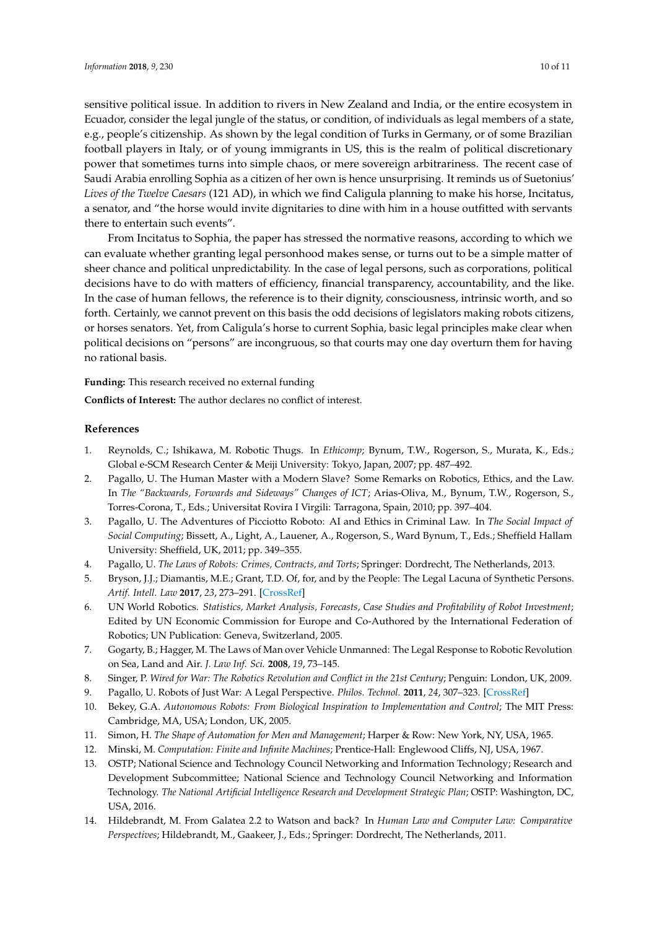sensitive political issue. In addition to rivers in New Zealand and India, or the entire ecosystem in Ecuador, consider the legal jungle of the status, or condition, of individuals as legal members of a state, e.g., people's citizenship. As shown by the legal condition of Turks in Germany, or of some Brazilian football players in Italy, or of young immigrants in US, this is the realm of political discretionary power that sometimes turns into simple chaos, or mere sovereign arbitrariness. The recent case of Saudi Arabia enrolling Sophia as a citizen of her own is hence unsurprising. It reminds us of Suetonius' *Lives of the Twelve Caesars* (121 AD), in which we find Caligula planning to make his horse, Incitatus, a senator, and "the horse would invite dignitaries to dine with him in a house outfitted with servants there to entertain such events".

From Incitatus to Sophia, the paper has stressed the normative reasons, according to which we can evaluate whether granting legal personhood makes sense, or turns out to be a simple matter of sheer chance and political unpredictability. In the case of legal persons, such as corporations, political decisions have to do with matters of efficiency, financial transparency, accountability, and the like. In the case of human fellows, the reference is to their dignity, consciousness, intrinsic worth, and so forth. Certainly, we cannot prevent on this basis the odd decisions of legislators making robots citizens, or horses senators. Yet, from Caligula's horse to current Sophia, basic legal principles make clear when political decisions on "persons" are incongruous, so that courts may one day overturn them for having no rational basis.

**Funding:** This research received no external funding

**Conflicts of Interest:** The author declares no conflict of interest.

### **References**

- <span id="page-9-0"></span>1. Reynolds, C.; Ishikawa, M. Robotic Thugs. In *Ethicomp*; Bynum, T.W., Rogerson, S., Murata, K., Eds.; Global e-SCM Research Center & Meiji University: Tokyo, Japan, 2007; pp. 487–492.
- <span id="page-9-1"></span>2. Pagallo, U. The Human Master with a Modern Slave? Some Remarks on Robotics, Ethics, and the Law. In *The "Backwards, Forwards and Sideways" Changes of ICT*; Arias-Oliva, M., Bynum, T.W., Rogerson, S., Torres-Corona, T., Eds.; Universitat Rovira I Virgili: Tarragona, Spain, 2010; pp. 397–404.
- <span id="page-9-2"></span>3. Pagallo, U. The Adventures of Picciotto Roboto: AI and Ethics in Criminal Law. In *The Social Impact of Social Computing*; Bissett, A., Light, A., Lauener, A., Rogerson, S., Ward Bynum, T., Eds.; Sheffield Hallam University: Sheffield, UK, 2011; pp. 349–355.
- <span id="page-9-3"></span>4. Pagallo, U. *The Laws of Robots: Crimes, Contracts, and Torts*; Springer: Dordrecht, The Netherlands, 2013.
- <span id="page-9-4"></span>5. Bryson, J.J.; Diamantis, M.E.; Grant, T.D. Of, for, and by the People: The Legal Lacuna of Synthetic Persons. *Artif. Intell. Law* **2017**, *23*, 273–291. [\[CrossRef\]](http://dx.doi.org/10.1007/s10506-017-9214-9)
- <span id="page-9-5"></span>6. UN World Robotics. *Statistics, Market Analysis, Forecasts, Case Studies and Profitability of Robot Investment*; Edited by UN Economic Commission for Europe and Co-Authored by the International Federation of Robotics; UN Publication: Geneva, Switzerland, 2005.
- <span id="page-9-6"></span>7. Gogarty, B.; Hagger, M. The Laws of Man over Vehicle Unmanned: The Legal Response to Robotic Revolution on Sea, Land and Air. *J. Law Inf. Sci.* **2008**, *19*, 73–145.
- <span id="page-9-7"></span>8. Singer, P. *Wired for War: The Robotics Revolution and Conflict in the 21st Century*; Penguin: London, UK, 2009.
- <span id="page-9-8"></span>9. Pagallo, U. Robots of Just War: A Legal Perspective. *Philos. Technol.* **2011**, *24*, 307–323. [\[CrossRef\]](http://dx.doi.org/10.1007/s13347-011-0024-9)
- <span id="page-9-9"></span>10. Bekey, G.A. *Autonomous Robots: From Biological Inspiration to Implementation and Control; The MIT Press:* Cambridge, MA, USA; London, UK, 2005.
- <span id="page-9-10"></span>11. Simon, H. *The Shape of Automation for Men and Management*; Harper & Row: New York, NY, USA, 1965.
- <span id="page-9-11"></span>12. Minski, M. *Computation: Finite and Infinite Machines*; Prentice-Hall: Englewood Cliffs, NJ, USA, 1967.
- <span id="page-9-12"></span>13. OSTP; National Science and Technology Council Networking and Information Technology; Research and Development Subcommittee; National Science and Technology Council Networking and Information Technology. *The National Artificial Intelligence Research and Development Strategic Plan*; OSTP: Washington, DC, USA, 2016.
- <span id="page-9-13"></span>14. Hildebrandt, M. From Galatea 2.2 to Watson and back? In *Human Law and Computer Law: Comparative Perspectives*; Hildebrandt, M., Gaakeer, J., Eds.; Springer: Dordrecht, The Netherlands, 2011.